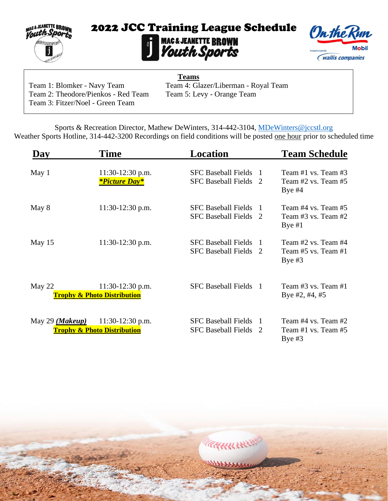

# **2022 JCC Training League Schedule<br>MAGE JEANETTE BROWN<br>Vouth Sports**



Team 2: Theodore/Pienkos - Red Team Team 5: Levy - Orange Team Team 3: Fitzer/Noel - Green Team

**Teams** Team 1: Blomker - Navy Team Team 4: Glazer/Liberman - Royal Team

KKKKKKK

Sports & Recreation Director, Mathew DeWinters, 314-442-3104, [MDeWinters@jccstl.org](mailto:MDeWinters@jccstl.org) Weather Sports Hotline, 314-442-3200 Recordings on field conditions will be posted one hour prior to scheduled time

| Dav                      | Time                                                         | Location                                                 |                     | <b>Team Schedule</b>                                           |
|--------------------------|--------------------------------------------------------------|----------------------------------------------------------|---------------------|----------------------------------------------------------------|
| May 1                    | 11:30-12:30 p.m.<br><i><b>*Picture Day*</b></i>              | <b>SFC Baseball Fields</b><br><b>SFC Baseball Fields</b> | 2                   | Team $#1$ vs. Team $#3$<br>Team #2 vs. Team #5<br>Bye $#4$     |
| May 8                    | $11:30-12:30$ p.m.                                           | <b>SFC Baseball Fields</b><br><b>SFC Baseball Fields</b> | -1<br>$\mathcal{D}$ | Team #4 vs. Team #5<br>Team $#3$ vs. Team $#2$<br>Bye $#1$     |
| May 15                   | 11:30-12:30 p.m.                                             | <b>SFC Baseball Fields</b><br><b>SFC Baseball Fields</b> | -1<br>$\mathcal{D}$ | Team $#2$ vs. Team $#4$<br>Team $#5$ vs. Team $#1$<br>Bye $#3$ |
| May 22                   | $11:30-12:30$ p.m.<br><b>Trophy &amp; Photo Distribution</b> | <b>SFC Baseball Fields</b><br>$\blacksquare$             |                     | Team #3 vs. Team #1<br>Bye #2, #4, #5                          |
| May 29 ( <i>Makeup</i> ) | $11:30-12:30$ p.m.<br><b>Trophy &amp; Photo Distribution</b> | <b>SFC Baseball Fields</b><br><b>SFC Baseball Fields</b> | -1<br>2             | Team #4 vs. Team #2<br>Team $#1$ vs. Team $#5$<br>Bye $#3$     |